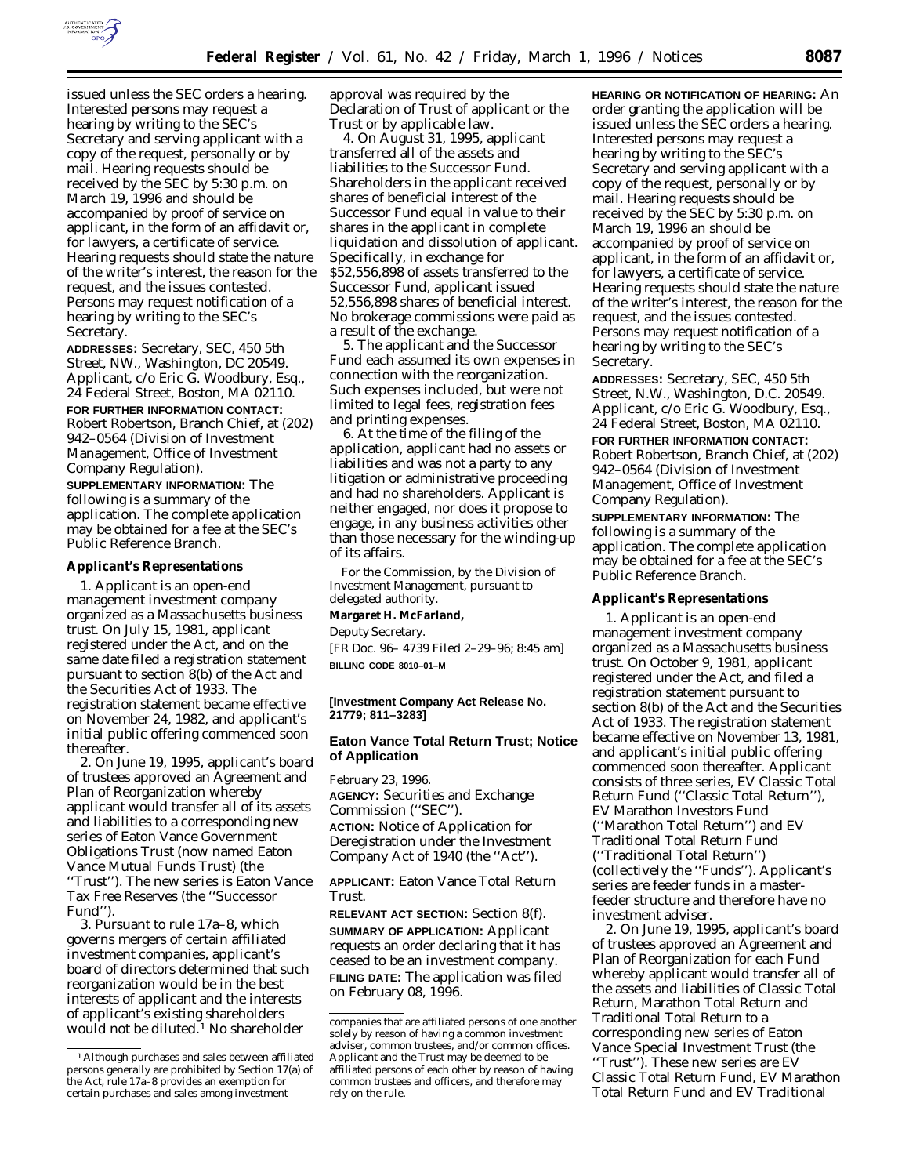

issued unless the SEC orders a hearing. Interested persons may request a hearing by writing to the SEC's Secretary and serving applicant with a copy of the request, personally or by mail. Hearing requests should be received by the SEC by 5:30 p.m. on March 19, 1996 and should be accompanied by proof of service on applicant, in the form of an affidavit or, for lawyers, a certificate of service. Hearing requests should state the nature of the writer's interest, the reason for the request, and the issues contested. Persons may request notification of a hearing by writing to the SEC's Secretary.

**ADDRESSES:** Secretary, SEC, 450 5th Street, NW., Washington, DC 20549. Applicant, c/o Eric G. Woodbury, Esq., 24 Federal Street, Boston, MA 02110. **FOR FURTHER INFORMATION CONTACT:** Robert Robertson, Branch Chief, at (202) 942–0564 (Division of Investment Management, Office of Investment Company Regulation).

**SUPPLEMENTARY INFORMATION:** The following is a summary of the application. The complete application may be obtained for a fee at the SEC's Public Reference Branch.

### **Applicant's Representations**

1. Applicant is an open-end management investment company organized as a Massachusetts business trust. On July 15, 1981, applicant registered under the Act, and on the same date filed a registration statement pursuant to section 8(b) of the Act and the Securities Act of 1933. The registration statement became effective on November 24, 1982, and applicant's initial public offering commenced soon thereafter.

2. On June 19, 1995, applicant's board of trustees approved an Agreement and Plan of Reorganization whereby applicant would transfer all of its assets and liabilities to a corresponding new series of Eaton Vance Government Obligations Trust (now named Eaton Vance Mutual Funds Trust) (the ''Trust''). The new series is Eaton Vance Tax Free Reserves (the ''Successor Fund'').

3. Pursuant to rule 17a–8, which governs mergers of certain affiliated investment companies, applicant's board of directors determined that such reorganization would be in the best interests of applicant and the interests of applicant's existing shareholders would not be diluted.1 No shareholder

approval was required by the Declaration of Trust of applicant or the Trust or by applicable law.

4. On August 31, 1995, applicant transferred all of the assets and liabilities to the Successor Fund. Shareholders in the applicant received shares of beneficial interest of the Successor Fund equal in value to their shares in the applicant in complete liquidation and dissolution of applicant. Specifically, in exchange for \$52,556,898 of assets transferred to the Successor Fund, applicant issued 52,556,898 shares of beneficial interest. No brokerage commissions were paid as a result of the exchange.

5. The applicant and the Successor Fund each assumed its own expenses in connection with the reorganization. Such expenses included, but were not limited to legal fees, registration fees and printing expenses.

6. At the time of the filing of the application, applicant had no assets or liabilities and was not a party to any litigation or administrative proceeding and had no shareholders. Applicant is neither engaged, nor does it propose to engage, in any business activities other than those necessary for the winding-up of its affairs.

For the Commission, by the Division of Investment Management, pursuant to delegated authority. **Margaret H. McFarland,** *Deputy Secretary.* [FR Doc. 96– 4739 Filed 2–29–96; 8:45 am] **BILLING CODE 8010–01–M**

### **[Investment Company Act Release No. 21779; 811–3283]**

# **Eaton Vance Total Return Trust; Notice of Application**

February 23, 1996. **AGENCY:** Securities and Exchange Commission (''SEC''). **ACTION:** Notice of Application for Deregistration under the Investment Company Act of 1940 (the ''Act'').

**APPLICANT:** Eaton Vance Total Return Trust.

**RELEVANT ACT SECTION:** Section 8(f). **SUMMARY OF APPLICATION:** Applicant requests an order declaring that it has ceased to be an investment company. **FILING DATE:** The application was filed on February 08, 1996.

**HEARING OR NOTIFICATION OF HEARING:** An order granting the application will be issued unless the SEC orders a hearing. Interested persons may request a hearing by writing to the SEC's Secretary and serving applicant with a copy of the request, personally or by mail. Hearing requests should be received by the SEC by 5:30 p.m. on March 19, 1996 an should be accompanied by proof of service on applicant, in the form of an affidavit or, for lawyers, a certificate of service. Hearing requests should state the nature of the writer's interest, the reason for the request, and the issues contested. Persons may request notification of a hearing by writing to the SEC's Secretary.

**ADDRESSES:** Secretary, SEC, 450 5th Street, N.W., Washington, D.C. 20549. Applicant, c/o Eric G. Woodbury, Esq., 24 Federal Street, Boston, MA 02110. **FOR FURTHER INFORMATION CONTACT:** Robert Robertson, Branch Chief, at (202) 942–0564 (Division of Investment Management, Office of Investment Company Regulation).

**SUPPLEMENTARY INFORMATION:** The following is a summary of the application. The complete application may be obtained for a fee at the SEC's Public Reference Branch.

#### **Applicant's Representations**

1. Applicant is an open-end management investment company organized as a Massachusetts business trust. On October 9, 1981, applicant registered under the Act, and filed a registration statement pursuant to section 8(b) of the Act and the Securities Act of 1933. The registration statement became effective on November 13, 1981, and applicant's initial public offering commenced soon thereafter. Applicant consists of three series, EV Classic Total Return Fund (''Classic Total Return''), EV Marathon Investors Fund (''Marathon Total Return'') and EV Traditional Total Return Fund (''Traditional Total Return'') (collectively the ''Funds''). Applicant's series are feeder funds in a masterfeeder structure and therefore have no investment adviser.

2. On June 19, 1995, applicant's board of trustees approved an Agreement and Plan of Reorganization for each Fund whereby applicant would transfer all of the assets and liabilities of Classic Total Return, Marathon Total Return and Traditional Total Return to a corresponding new series of Eaton Vance Special Investment Trust (the ''Trust''). These new series are EV Classic Total Return Fund, EV Marathon Total Return Fund and EV Traditional

<sup>1</sup>Although purchases and sales between affiliated persons generally are prohibited by Section 17(a) of the Act, rule 17a–8 provides an exemption for certain purchases and sales among investment

companies that are affiliated persons of one another solely by reason of having a common investment adviser, common trustees, and/or common offices. Applicant and the Trust may be deemed to be affiliated persons of each other by reason of having common trustees and officers, and therefore may rely on the rule.